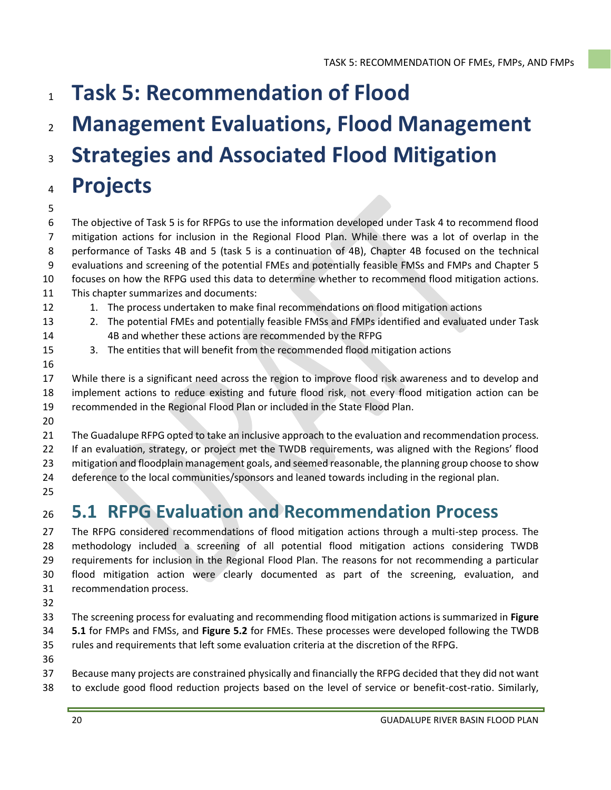- **Task 5: Recommendation of Flood**
- **Management Evaluations, Flood Management**
- **Strategies and Associated Flood Mitigation**

# **Projects**

 The objective of Task 5 is for RFPGs to use the information developed under Task 4 to recommend flood mitigation actions for inclusion in the Regional Flood Plan. While there was a lot of overlap in the performance of Tasks 4B and 5 (task 5 is a continuation of 4B), Chapter 4B focused on the technical evaluations and screening of the potential FMEs and potentially feasible FMSs and FMPs and Chapter 5 focuses on how the RFPG used this data to determine whether to recommend flood mitigation actions. This chapter summarizes and documents:

- 12 1. The process undertaken to make final recommendations on flood mitigation actions
- 
- 
- 2. The potential FMEs and potentially feasible FMSs and FMPs identified and evaluated under Task 4B and whether these actions are recommended by the RFPG
- 3. The entities that will benefit from the recommended flood mitigation actions
- 

 While there is a significant need across the region to improve flood risk awareness and to develop and implement actions to reduce existing and future flood risk, not every flood mitigation action can be recommended in the Regional Flood Plan or included in the State Flood Plan.

The Guadalupe RFPG opted to take an inclusive approach to the evaluation and recommendation process.

If an evaluation, strategy, or project met the TWDB requirements, was aligned with the Regions' flood

mitigation and floodplain management goals, and seemed reasonable, the planning group choose to show

deference to the local communities/sponsors and leaned towards including in the regional plan.

# **5.1 RFPG Evaluation and Recommendation Process**

27 The RFPG considered recommendations of flood mitigation actions through a multi-step process. The methodology included a screening of all potential flood mitigation actions considering TWDB requirements for inclusion in the Regional Flood Plan. The reasons for not recommending a particular flood mitigation action were clearly documented as part of the screening, evaluation, and recommendation process.

- The screening process for evaluating and recommending flood mitigation actions is summarized in **Figure 5.1** for FMPs and FMSs, and **Figure 5.2** for FMEs. These processes were developed following the TWDB rules and requirements that left some evaluation criteria at the discretion of the RFPG.
- 

Because many projects are constrained physically and financially the RFPG decided that they did not want

to exclude good flood reduction projects based on the level of service or benefit-cost-ratio. Similarly,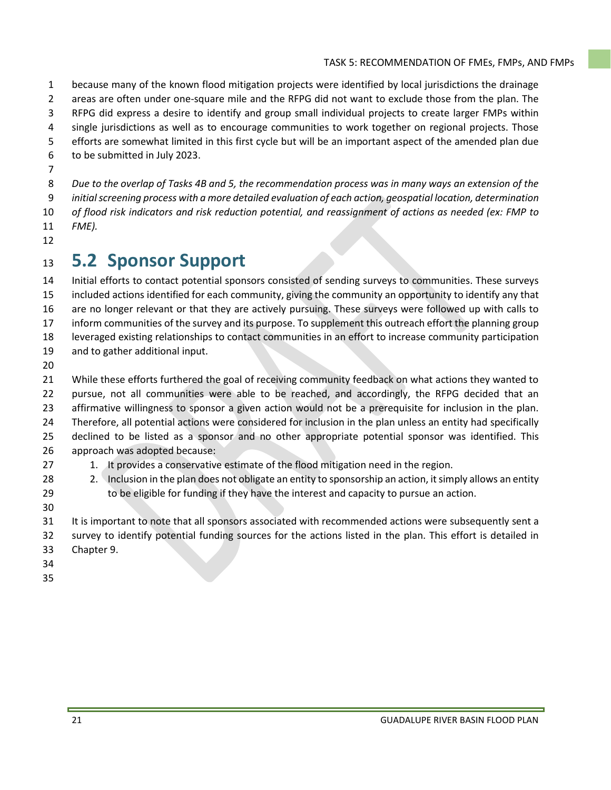because many of the known flood mitigation projects were identified by local jurisdictions the drainage areas are often under one-square mile and the RFPG did not want to exclude those from the plan. The RFPG did express a desire to identify and group small individual projects to create larger FMPs within single jurisdictions as well as to encourage communities to work together on regional projects. Those

- efforts are somewhat limited in this first cycle but will be an important aspect of the amended plan due
- to be submitted in July 2023.
- 

 *Due to the overlap of Tasks 4B and 5, the recommendation process was in many ways an extension of the initial screening process with a more detailed evaluation of each action, geospatial location, determination of flood risk indicators and risk reduction potential, and reassignment of actions as needed (ex: FMP to FME).* 

# **5.2 Sponsor Support**

 Initial efforts to contact potential sponsors consisted of sending surveys to communities. These surveys included actions identified for each community, giving the community an opportunity to identify any that are no longer relevant or that they are actively pursuing. These surveys were followed up with calls to inform communities of the survey and its purpose. To supplement this outreach effort the planning group leveraged existing relationships to contact communities in an effort to increase community participation and to gather additional input.

 While these efforts furthered the goal of receiving community feedback on what actions they wanted to 22 pursue, not all communities were able to be reached, and accordingly, the RFPG decided that an affirmative willingness to sponsor a given action would not be a prerequisite for inclusion in the plan. Therefore, all potential actions were considered for inclusion in the plan unless an entity had specifically declined to be listed as a sponsor and no other appropriate potential sponsor was identified. This approach was adopted because:

- 27 1. It provides a conservative estimate of the flood mitigation need in the region.
- 28 28 2. Inclusion in the plan does not obligate an entity to sponsorship an action, it simply allows an entity to be eligible for funding if they have the interest and capacity to pursue an action.
- 

31 It is important to note that all sponsors associated with recommended actions were subsequently sent a

survey to identify potential funding sources for the actions listed in the plan. This effort is detailed in

- Chapter 9.
- 
-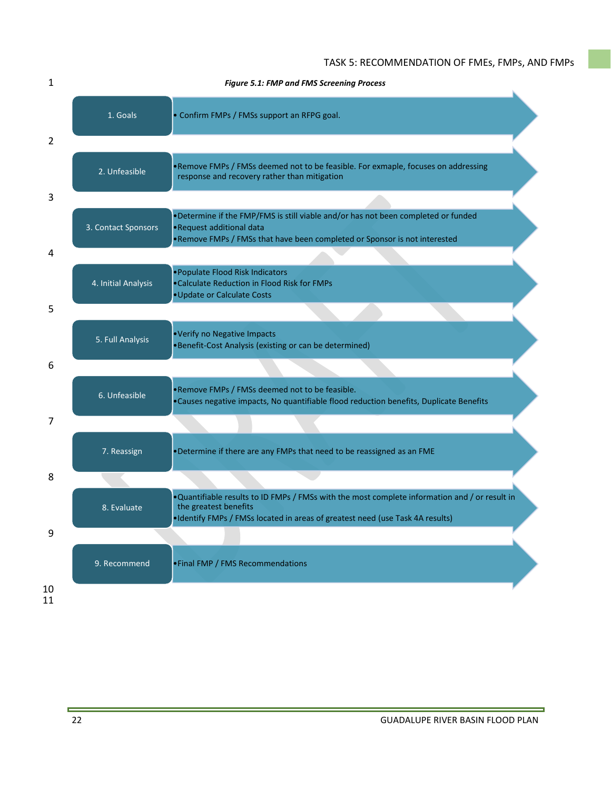|                     | Figure 5.1: FMP and FMS Screening Process                                                                                                                                                                |
|---------------------|----------------------------------------------------------------------------------------------------------------------------------------------------------------------------------------------------------|
| 1. Goals            | • Confirm FMPs / FMSs support an RFPG goal.                                                                                                                                                              |
|                     |                                                                                                                                                                                                          |
| 2. Unfeasible       | . Remove FMPs / FMSs deemed not to be feasible. For exmaple, focuses on addressing<br>response and recovery rather than mitigation                                                                       |
|                     |                                                                                                                                                                                                          |
| 3. Contact Sponsors | . Determine if the FMP/FMS is still viable and/or has not been completed or funded<br>•Request additional data<br>. Remove FMPs / FMSs that have been completed or Sponsor is not interested             |
|                     |                                                                                                                                                                                                          |
| 4. Initial Analysis | • Populate Flood Risk Indicators<br>.Calculate Reduction in Flood Risk for FMPs<br>• Update or Calculate Costs                                                                                           |
|                     |                                                                                                                                                                                                          |
| 5. Full Analysis    | .Verify no Negative Impacts<br>•Benefit-Cost Analysis (existing or can be determined)                                                                                                                    |
|                     |                                                                                                                                                                                                          |
| 6. Unfeasible       | . Remove FMPs / FMSs deemed not to be feasible.<br>. Causes negative impacts, No quantifiable flood reduction benefits, Duplicate Benefits                                                               |
|                     |                                                                                                                                                                                                          |
| 7. Reassign         | . Determine if there are any FMPs that need to be reassigned as an FME                                                                                                                                   |
|                     |                                                                                                                                                                                                          |
| 8. Evaluate         | . Quantifiable results to ID FMPs / FMSs with the most complete information and / or result in<br>the greatest benefits<br>•Identify FMPs / FMSs located in areas of greatest need (use Task 4A results) |
|                     |                                                                                                                                                                                                          |
| 9. Recommend        | • Final FMP / FMS Recommendations                                                                                                                                                                        |
|                     |                                                                                                                                                                                                          |

E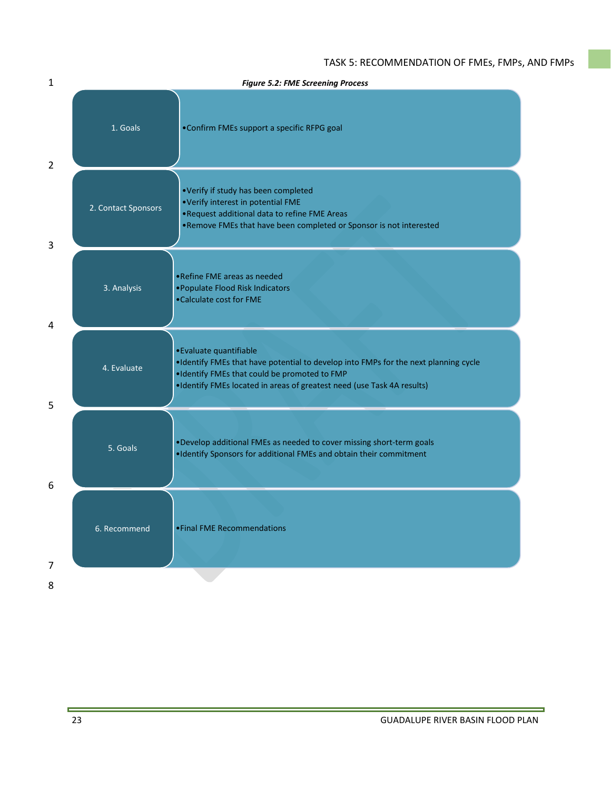| 1              | <b>Figure 5.2: FME Screening Process</b> |                                                                                                                                                                                                                                            |  |  |  |  |  |
|----------------|------------------------------------------|--------------------------------------------------------------------------------------------------------------------------------------------------------------------------------------------------------------------------------------------|--|--|--|--|--|
| $\overline{2}$ | 1. Goals                                 | •Confirm FMEs support a specific RFPG goal                                                                                                                                                                                                 |  |  |  |  |  |
| 3              | 2. Contact Sponsors                      | •Verify if study has been completed<br>.Verify interest in potential FME<br>.Request additional data to refine FME Areas<br>. Remove FMEs that have been completed or Sponsor is not interested                                            |  |  |  |  |  |
| 4              | 3. Analysis                              | • Refine FME areas as needed<br>• Populate Flood Risk Indicators<br>•Calculate cost for FME                                                                                                                                                |  |  |  |  |  |
| 5              | 4. Evaluate                              | • Evaluate quantifiable<br>. Identify FMEs that have potential to develop into FMPs for the next planning cycle<br>. Identify FMEs that could be promoted to FMP<br>•Identify FMEs located in areas of greatest need (use Task 4A results) |  |  |  |  |  |
| 6              | 5. Goals                                 | . Develop additional FMEs as needed to cover missing short-term goals<br>. Identify Sponsors for additional FMEs and obtain their commitment                                                                                               |  |  |  |  |  |
| 7              | 6. Recommend                             | • Final FME Recommendations                                                                                                                                                                                                                |  |  |  |  |  |
| 8              |                                          |                                                                                                                                                                                                                                            |  |  |  |  |  |

E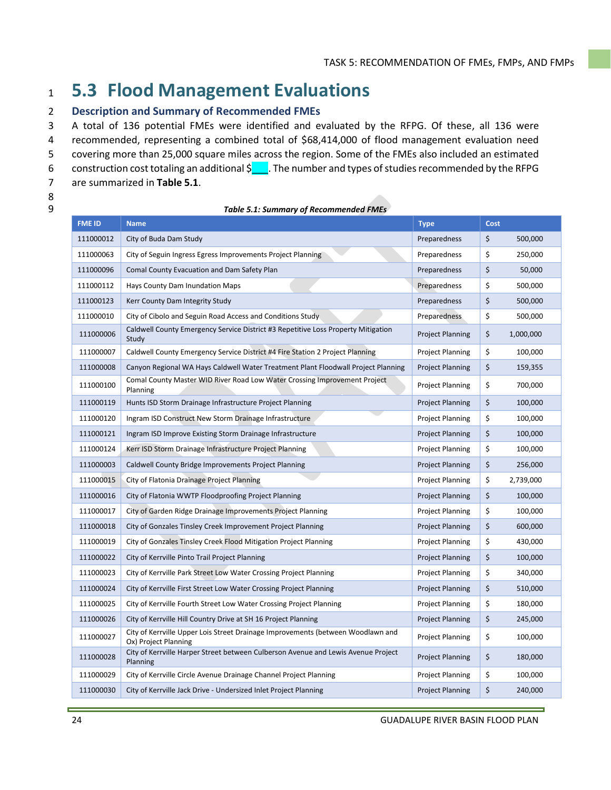# **5.3 Flood Management Evaluations**

### **Description and Summary of Recommended FMEs**

A total of 136 potential FMEs were identified and evaluated by the RFPG. Of these, all 136 were

recommended, representing a combined total of \$68,414,000 of flood management evaluation need

 covering more than 25,000 square miles across the region. Some of the FMEs also included an estimated 6 construction cost totaling an additional  $\frac{1}{2}$ . The number and types of studies recommended by the RFPG

- are summarized in **Table 5.1**.
- 

| <b>Table 5.1: Summary of Recommended FMEs</b> |
|-----------------------------------------------|
|                                               |

| <b>FME ID</b> | <b>Name</b>                                                                                             | <b>Type</b>             | Cost |           |
|---------------|---------------------------------------------------------------------------------------------------------|-------------------------|------|-----------|
| 111000012     | City of Buda Dam Study                                                                                  | Preparedness            | \$   | 500,000   |
| 111000063     | City of Seguin Ingress Egress Improvements Project Planning                                             | Preparedness            | \$   | 250,000   |
| 111000096     | Comal County Evacuation and Dam Safety Plan                                                             | Preparedness            | \$   | 50,000    |
| 111000112     | Hays County Dam Inundation Maps                                                                         | Preparedness            | \$   | 500,000   |
| 111000123     | Kerr County Dam Integrity Study                                                                         | Preparedness            | \$   | 500,000   |
| 111000010     | City of Cibolo and Seguin Road Access and Conditions Study                                              | Preparedness            | \$   | 500,000   |
| 111000006     | Caldwell County Emergency Service District #3 Repetitive Loss Property Mitigation<br>Study              | <b>Project Planning</b> | \$   | 1,000,000 |
| 111000007     | Caldwell County Emergency Service District #4 Fire Station 2 Project Planning                           | <b>Project Planning</b> | \$   | 100,000   |
| 111000008     | Canyon Regional WA Hays Caldwell Water Treatment Plant Floodwall Project Planning                       | <b>Project Planning</b> | \$   | 159,355   |
| 111000100     | Comal County Master WID River Road Low Water Crossing Improvement Project<br>Planning                   | <b>Project Planning</b> | \$   | 700,000   |
| 111000119     | Hunts ISD Storm Drainage Infrastructure Project Planning                                                | <b>Project Planning</b> | \$   | 100,000   |
| 111000120     | Ingram ISD Construct New Storm Drainage Infrastructure                                                  | <b>Project Planning</b> | \$   | 100,000   |
| 111000121     | Ingram ISD Improve Existing Storm Drainage Infrastructure                                               | <b>Project Planning</b> | \$   | 100,000   |
| 111000124     | Kerr ISD Storm Drainage Infrastructure Project Planning                                                 | <b>Project Planning</b> | \$   | 100,000   |
| 111000003     | Caldwell County Bridge Improvements Project Planning                                                    | <b>Project Planning</b> | \$   | 256,000   |
| 111000015     | City of Flatonia Drainage Project Planning                                                              | <b>Project Planning</b> | \$   | 2,739,000 |
| 111000016     | City of Flatonia WWTP Floodproofing Project Planning                                                    | <b>Project Planning</b> | \$   | 100,000   |
| 111000017     | City of Garden Ridge Drainage Improvements Project Planning                                             | <b>Project Planning</b> | \$   | 100,000   |
| 111000018     | City of Gonzales Tinsley Creek Improvement Project Planning                                             | <b>Project Planning</b> | \$   | 600,000   |
| 111000019     | City of Gonzales Tinsley Creek Flood Mitigation Project Planning                                        | <b>Project Planning</b> | \$   | 430,000   |
| 111000022     | City of Kerrville Pinto Trail Project Planning                                                          | <b>Project Planning</b> | \$   | 100,000   |
| 111000023     | City of Kerrville Park Street Low Water Crossing Project Planning                                       | <b>Project Planning</b> | \$   | 340,000   |
| 111000024     | City of Kerrville First Street Low Water Crossing Project Planning                                      | <b>Project Planning</b> | \$   | 510,000   |
| 111000025     | City of Kerrville Fourth Street Low Water Crossing Project Planning                                     | <b>Project Planning</b> | \$   | 180,000   |
| 111000026     | City of Kerrville Hill Country Drive at SH 16 Project Planning                                          | <b>Project Planning</b> | \$   | 245,000   |
| 111000027     | City of Kerrville Upper Lois Street Drainage Improvements (between Woodlawn and<br>Ox) Project Planning | <b>Project Planning</b> | \$   | 100,000   |
| 111000028     | City of Kerrville Harper Street between Culberson Avenue and Lewis Avenue Project<br>Planning           | <b>Project Planning</b> | \$   | 180,000   |
| 111000029     | City of Kerrville Circle Avenue Drainage Channel Project Planning                                       | <b>Project Planning</b> | \$   | 100,000   |
| 111000030     | City of Kerrville Jack Drive - Undersized Inlet Project Planning                                        | <b>Project Planning</b> | \$   | 240,000   |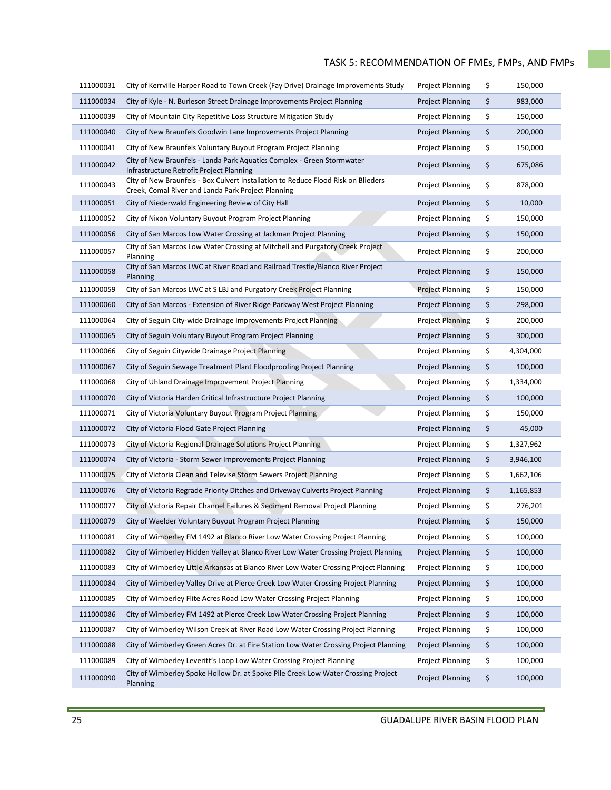| 111000031 | City of Kerrville Harper Road to Town Creek (Fay Drive) Drainage Improvements Study                                                     | <b>Project Planning</b> | \$       | 150,000   |
|-----------|-----------------------------------------------------------------------------------------------------------------------------------------|-------------------------|----------|-----------|
| 111000034 | City of Kyle - N. Burleson Street Drainage Improvements Project Planning                                                                | <b>Project Planning</b> | \$<br>\$ | 983,000   |
| 111000039 | City of Mountain City Repetitive Loss Structure Mitigation Study                                                                        | <b>Project Planning</b> |          | 150,000   |
| 111000040 | City of New Braunfels Goodwin Lane Improvements Project Planning                                                                        | <b>Project Planning</b> | \$       | 200,000   |
| 111000041 | City of New Braunfels Voluntary Buyout Program Project Planning                                                                         | <b>Project Planning</b> | \$       | 150,000   |
| 111000042 | City of New Braunfels - Landa Park Aquatics Complex - Green Stormwater<br>Infrastructure Retrofit Project Planning                      | <b>Project Planning</b> | \$       | 675,086   |
| 111000043 | City of New Braunfels - Box Culvert Installation to Reduce Flood Risk on Blieders<br>Creek, Comal River and Landa Park Project Planning | <b>Project Planning</b> | \$       | 878,000   |
| 111000051 | City of Niederwald Engineering Review of City Hall                                                                                      | <b>Project Planning</b> | \$       | 10,000    |
| 111000052 | City of Nixon Voluntary Buyout Program Project Planning                                                                                 | <b>Project Planning</b> | \$       | 150,000   |
| 111000056 | City of San Marcos Low Water Crossing at Jackman Project Planning                                                                       | <b>Project Planning</b> | \$       | 150,000   |
| 111000057 | City of San Marcos Low Water Crossing at Mitchell and Purgatory Creek Project<br>Planning                                               | <b>Project Planning</b> | \$       | 200,000   |
| 111000058 | City of San Marcos LWC at River Road and Railroad Trestle/Blanco River Project<br>Planning                                              | <b>Project Planning</b> | \$       | 150,000   |
| 111000059 | City of San Marcos LWC at S LBJ and Purgatory Creek Project Planning                                                                    | <b>Project Planning</b> | \$       | 150,000   |
| 111000060 | City of San Marcos - Extension of River Ridge Parkway West Project Planning                                                             | <b>Project Planning</b> | \$       | 298,000   |
| 111000064 | City of Seguin City-wide Drainage Improvements Project Planning                                                                         | <b>Project Planning</b> | \$       | 200,000   |
| 111000065 | City of Seguin Voluntary Buyout Program Project Planning                                                                                | <b>Project Planning</b> | \$       | 300,000   |
| 111000066 | City of Seguin Citywide Drainage Project Planning                                                                                       | <b>Project Planning</b> | \$       | 4,304,000 |
| 111000067 | City of Seguin Sewage Treatment Plant Floodproofing Project Planning                                                                    | <b>Project Planning</b> | \$       | 100,000   |
| 111000068 | City of Uhland Drainage Improvement Project Planning                                                                                    | <b>Project Planning</b> | \$       | 1,334,000 |
| 111000070 | City of Victoria Harden Critical Infrastructure Project Planning                                                                        | <b>Project Planning</b> | \$       | 100,000   |
| 111000071 | City of Victoria Voluntary Buyout Program Project Planning                                                                              | <b>Project Planning</b> | \$       | 150,000   |
| 111000072 | City of Victoria Flood Gate Project Planning                                                                                            | <b>Project Planning</b> | \$       | 45,000    |
| 111000073 | City of Victoria Regional Drainage Solutions Project Planning                                                                           | <b>Project Planning</b> | \$       | 1,327,962 |
| 111000074 | City of Victoria - Storm Sewer Improvements Project Planning                                                                            | <b>Project Planning</b> | \$       | 3,946,100 |
| 111000075 | City of Victoria Clean and Televise Storm Sewers Project Planning                                                                       | <b>Project Planning</b> | \$       | 1,662,106 |
| 111000076 | City of Victoria Regrade Priority Ditches and Driveway Culverts Project Planning                                                        | <b>Project Planning</b> | \$       | 1,165,853 |
| 111000077 | City of Victoria Repair Channel Failures & Sediment Removal Project Planning                                                            | <b>Project Planning</b> | \$       | 276,201   |
| 111000079 | City of Waelder Voluntary Buyout Program Project Planning                                                                               | <b>Project Planning</b> | \$       | 150,000   |
| 111000081 | City of Wimberley FM 1492 at Blanco River Low Water Crossing Project Planning                                                           | <b>Project Planning</b> | \$       | 100,000   |
| 111000082 | City of Wimberley Hidden Valley at Blanco River Low Water Crossing Project Planning                                                     | <b>Project Planning</b> | \$       | 100,000   |
| 111000083 | City of Wimberley Little Arkansas at Blanco River Low Water Crossing Project Planning                                                   | <b>Project Planning</b> | \$       | 100,000   |
| 111000084 | City of Wimberley Valley Drive at Pierce Creek Low Water Crossing Project Planning                                                      | <b>Project Planning</b> | \$       | 100,000   |
| 111000085 | City of Wimberley Flite Acres Road Low Water Crossing Project Planning                                                                  | <b>Project Planning</b> | \$       | 100,000   |
| 111000086 | City of Wimberley FM 1492 at Pierce Creek Low Water Crossing Project Planning                                                           | <b>Project Planning</b> | \$       | 100,000   |
| 111000087 | City of Wimberley Wilson Creek at River Road Low Water Crossing Project Planning                                                        | <b>Project Planning</b> | \$       | 100,000   |
| 111000088 | City of Wimberley Green Acres Dr. at Fire Station Low Water Crossing Project Planning                                                   | <b>Project Planning</b> | \$       | 100,000   |
| 111000089 | City of Wimberley Leveritt's Loop Low Water Crossing Project Planning                                                                   | <b>Project Planning</b> | \$       | 100,000   |
| 111000090 | City of Wimberley Spoke Hollow Dr. at Spoke Pile Creek Low Water Crossing Project<br>Planning                                           | <b>Project Planning</b> | \$       | 100,000   |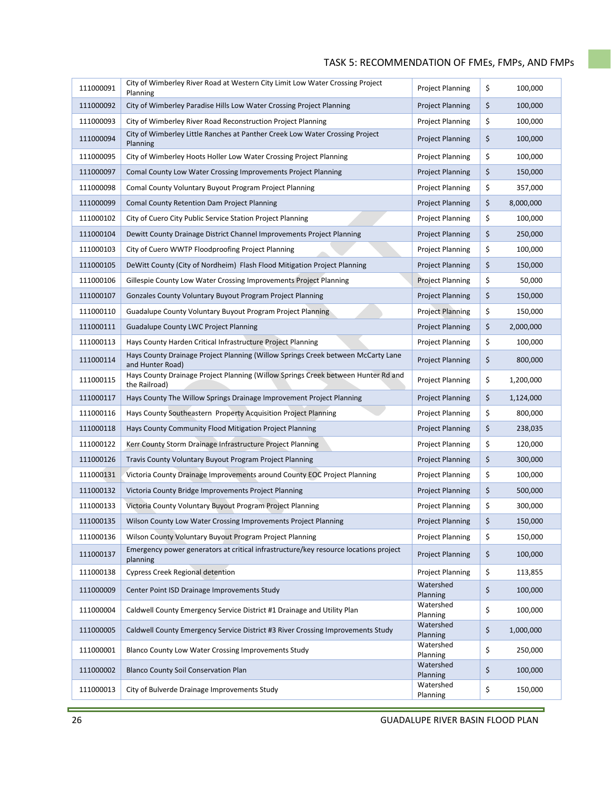| 111000091 | City of Wimberley River Road at Western City Limit Low Water Crossing Project<br>Planning            | <b>Project Planning</b> | \$<br>100,000   |
|-----------|------------------------------------------------------------------------------------------------------|-------------------------|-----------------|
| 111000092 | City of Wimberley Paradise Hills Low Water Crossing Project Planning                                 | <b>Project Planning</b> | \$<br>100,000   |
| 111000093 | City of Wimberley River Road Reconstruction Project Planning                                         | <b>Project Planning</b> | \$<br>100,000   |
| 111000094 | City of Wimberley Little Ranches at Panther Creek Low Water Crossing Project<br>Planning             | <b>Project Planning</b> | \$<br>100,000   |
| 111000095 | City of Wimberley Hoots Holler Low Water Crossing Project Planning                                   | <b>Project Planning</b> | \$<br>100,000   |
| 111000097 | Comal County Low Water Crossing Improvements Project Planning                                        | <b>Project Planning</b> | \$<br>150,000   |
| 111000098 | Comal County Voluntary Buyout Program Project Planning                                               | <b>Project Planning</b> | \$<br>357,000   |
| 111000099 | Comal County Retention Dam Project Planning                                                          | <b>Project Planning</b> | \$<br>8,000,000 |
| 111000102 | City of Cuero City Public Service Station Project Planning                                           | <b>Project Planning</b> | \$<br>100,000   |
| 111000104 | Dewitt County Drainage District Channel Improvements Project Planning                                | <b>Project Planning</b> | \$<br>250,000   |
| 111000103 | City of Cuero WWTP Floodproofing Project Planning                                                    | <b>Project Planning</b> | \$<br>100,000   |
| 111000105 | DeWitt County (City of Nordheim) Flash Flood Mitigation Project Planning                             | <b>Project Planning</b> | \$<br>150,000   |
| 111000106 | Gillespie County Low Water Crossing Improvements Project Planning                                    | <b>Project Planning</b> | \$<br>50,000    |
| 111000107 | Gonzales County Voluntary Buyout Program Project Planning                                            | <b>Project Planning</b> | \$<br>150,000   |
| 111000110 | Guadalupe County Voluntary Buyout Program Project Planning                                           | <b>Project Planning</b> | \$<br>150,000   |
| 111000111 | <b>Guadalupe County LWC Project Planning</b>                                                         | <b>Project Planning</b> | \$<br>2,000,000 |
| 111000113 | Hays County Harden Critical Infrastructure Project Planning                                          | <b>Project Planning</b> | \$<br>100,000   |
| 111000114 | Hays County Drainage Project Planning (Willow Springs Creek between McCarty Lane<br>and Hunter Road) | <b>Project Planning</b> | \$<br>800,000   |
| 111000115 | Hays County Drainage Project Planning (Willow Springs Creek between Hunter Rd and<br>the Railroad)   | <b>Project Planning</b> | \$<br>1,200,000 |
| 111000117 | Hays County The Willow Springs Drainage Improvement Project Planning                                 | <b>Project Planning</b> | \$<br>1,124,000 |
| 111000116 | Hays County Southeastern Property Acquisition Project Planning                                       | <b>Project Planning</b> | \$<br>800,000   |
| 111000118 | Hays County Community Flood Mitigation Project Planning                                              | <b>Project Planning</b> | \$<br>238,035   |
| 111000122 | Kerr County Storm Drainage Infrastructure Project Planning                                           | <b>Project Planning</b> | \$<br>120,000   |
| 111000126 | Travis County Voluntary Buyout Program Project Planning                                              | <b>Project Planning</b> | \$<br>300,000   |
| 111000131 | Victoria County Drainage Improvements around County EOC Project Planning                             | <b>Project Planning</b> | \$<br>100,000   |
| 111000132 | Victoria County Bridge Improvements Project Planning                                                 | <b>Project Planning</b> | \$<br>500,000   |
| 111000133 | Victoria County Voluntary Buyout Program Project Planning                                            | <b>Project Planning</b> | \$<br>300,000   |
| 111000135 | Wilson County Low Water Crossing Improvements Project Planning                                       | <b>Project Planning</b> | \$<br>150,000   |
| 111000136 | Wilson County Voluntary Buyout Program Project Planning                                              | <b>Project Planning</b> | \$<br>150,000   |
| 111000137 | Emergency power generators at critical infrastructure/key resource locations project<br>planning     | <b>Project Planning</b> | \$<br>100,000   |
| 111000138 | <b>Cypress Creek Regional detention</b>                                                              | <b>Project Planning</b> | \$<br>113,855   |
| 111000009 | Center Point ISD Drainage Improvements Study                                                         | Watershed<br>Planning   | \$<br>100,000   |
| 111000004 | Caldwell County Emergency Service District #1 Drainage and Utility Plan                              | Watershed<br>Planning   | \$<br>100,000   |
| 111000005 | Caldwell County Emergency Service District #3 River Crossing Improvements Study                      | Watershed<br>Planning   | \$<br>1,000,000 |
| 111000001 | Blanco County Low Water Crossing Improvements Study                                                  | Watershed<br>Planning   | \$<br>250,000   |
| 111000002 | <b>Blanco County Soil Conservation Plan</b>                                                          | Watershed<br>Planning   | \$<br>100,000   |
| 111000013 | City of Bulverde Drainage Improvements Study                                                         | Watershed<br>Planning   | \$<br>150,000   |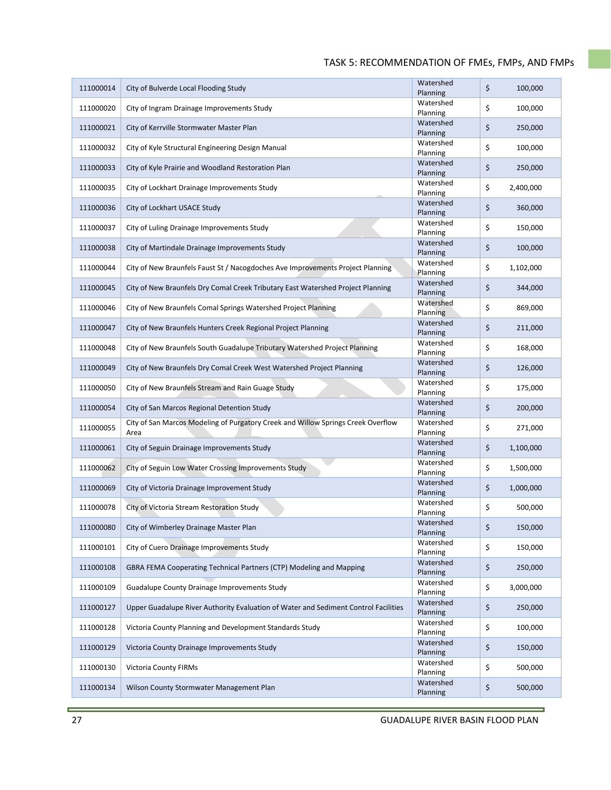| 111000014 | City of Bulverde Local Flooding Study                                                    | Watershed<br>Planning | \$<br>100,000   |
|-----------|------------------------------------------------------------------------------------------|-----------------------|-----------------|
| 111000020 | City of Ingram Drainage Improvements Study                                               | Watershed<br>Planning | \$<br>100,000   |
| 111000021 | City of Kerrville Stormwater Master Plan                                                 | Watershed<br>Planning | \$<br>250,000   |
| 111000032 | City of Kyle Structural Engineering Design Manual                                        | Watershed<br>Planning | \$<br>100,000   |
| 111000033 | City of Kyle Prairie and Woodland Restoration Plan                                       | Watershed<br>Planning | \$<br>250,000   |
| 111000035 | City of Lockhart Drainage Improvements Study                                             | Watershed<br>Planning | \$<br>2,400,000 |
| 111000036 | City of Lockhart USACE Study                                                             | Watershed<br>Planning | \$<br>360,000   |
| 111000037 | City of Luling Drainage Improvements Study                                               | Watershed<br>Planning | \$<br>150,000   |
| 111000038 | City of Martindale Drainage Improvements Study                                           | Watershed<br>Planning | \$<br>100,000   |
| 111000044 | City of New Braunfels Faust St / Nacogdoches Ave Improvements Project Planning           | Watershed<br>Planning | \$<br>1,102,000 |
| 111000045 | City of New Braunfels Dry Comal Creek Tributary East Watershed Project Planning          | Watershed<br>Planning | \$<br>344,000   |
| 111000046 | City of New Braunfels Comal Springs Watershed Project Planning                           | Watershed<br>Planning | \$<br>869,000   |
| 111000047 | City of New Braunfels Hunters Creek Regional Project Planning                            | Watershed<br>Planning | \$<br>211,000   |
| 111000048 | City of New Braunfels South Guadalupe Tributary Watershed Project Planning               | Watershed<br>Planning | \$<br>168,000   |
| 111000049 | City of New Braunfels Dry Comal Creek West Watershed Project Planning                    | Watershed<br>Planning | \$<br>126,000   |
| 111000050 | City of New Braunfels Stream and Rain Guage Study                                        | Watershed<br>Planning | \$<br>175,000   |
| 111000054 | City of San Marcos Regional Detention Study                                              | Watershed<br>Planning | \$<br>200,000   |
| 111000055 | City of San Marcos Modeling of Purgatory Creek and Willow Springs Creek Overflow<br>Area | Watershed<br>Planning | \$<br>271,000   |
| 111000061 | City of Seguin Drainage Improvements Study                                               | Watershed<br>Planning | \$<br>1,100,000 |
| 111000062 | City of Seguin Low Water Crossing Improvements Study                                     | Watershed<br>Planning | \$<br>1,500,000 |
| 111000069 | City of Victoria Drainage Improvement Study                                              | Watershed<br>Planning | \$<br>1,000,000 |
| 111000078 | City of Victoria Stream Restoration Study                                                | Watershed<br>Planning | \$<br>500,000   |
| 111000080 | City of Wimberley Drainage Master Plan                                                   | Watershed<br>Planning | \$<br>150,000   |
| 111000101 | City of Cuero Drainage Improvements Study                                                | Watershed<br>Planning | \$<br>150,000   |
| 111000108 | GBRA FEMA Cooperating Technical Partners (CTP) Modeling and Mapping                      | Watershed<br>Planning | \$<br>250,000   |
| 111000109 | <b>Guadalupe County Drainage Improvements Study</b>                                      | Watershed<br>Planning | \$<br>3,000,000 |
| 111000127 | Upper Guadalupe River Authority Evaluation of Water and Sediment Control Facilities      | Watershed<br>Planning | \$<br>250,000   |
| 111000128 | Victoria County Planning and Development Standards Study                                 | Watershed<br>Planning | \$<br>100,000   |
| 111000129 | Victoria County Drainage Improvements Study                                              | Watershed<br>Planning | \$<br>150,000   |
| 111000130 | <b>Victoria County FIRMs</b>                                                             | Watershed<br>Planning | \$<br>500,000   |
| 111000134 | Wilson County Stormwater Management Plan                                                 | Watershed<br>Planning | \$<br>500,000   |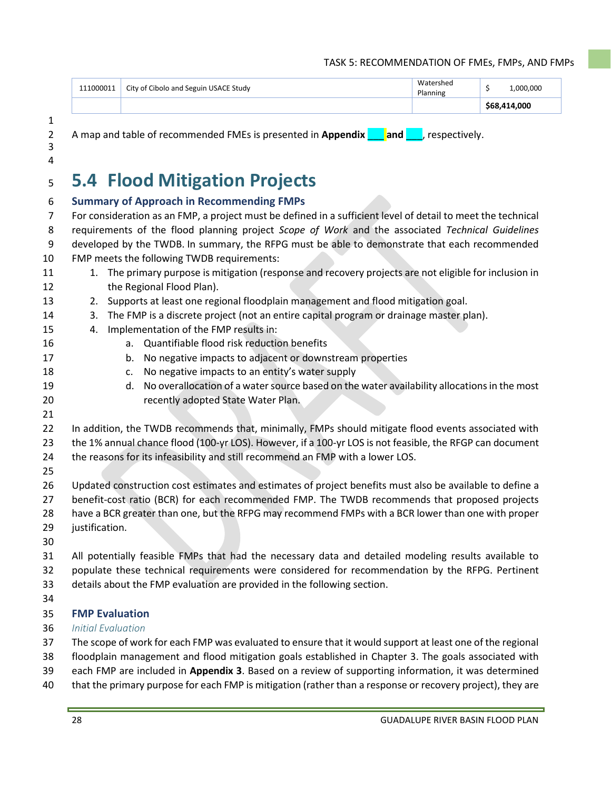|           |                                       |                              | 14.000<br>S68. |
|-----------|---------------------------------------|------------------------------|----------------|
| 111000011 | City of Cibolo and Seguin USACE Study | Watershed<br><b>Planning</b> | .000.000       |

A map and table of recommended FMEs is presented in **Appendix** \_\_\_ **and** \_\_\_, respectively.

# **5.4 Flood Mitigation Projects**

| 6              | <b>Summary of Approach in Recommending FMPs</b>                                                                                                                                       |  |  |  |  |  |  |
|----------------|---------------------------------------------------------------------------------------------------------------------------------------------------------------------------------------|--|--|--|--|--|--|
| $\overline{7}$ | For consideration as an FMP, a project must be defined in a sufficient level of detail to meet the technical                                                                          |  |  |  |  |  |  |
| 8              | requirements of the flood planning project Scope of Work and the associated Technical Guidelines                                                                                      |  |  |  |  |  |  |
| 9              | developed by the TWDB. In summary, the RFPG must be able to demonstrate that each recommended                                                                                         |  |  |  |  |  |  |
| 10             | FMP meets the following TWDB requirements:                                                                                                                                            |  |  |  |  |  |  |
| 11             | 1. The primary purpose is mitigation (response and recovery projects are not eligible for inclusion in                                                                                |  |  |  |  |  |  |
| 12             | the Regional Flood Plan).                                                                                                                                                             |  |  |  |  |  |  |
| 13             | Supports at least one regional floodplain management and flood mitigation goal.<br>2.<br>The FMP is a discrete project (not an entire capital program or drainage master plan).<br>3. |  |  |  |  |  |  |
| 14<br>15       | Implementation of the FMP results in:<br>4.                                                                                                                                           |  |  |  |  |  |  |
| 16             | Quantifiable flood risk reduction benefits<br>a.                                                                                                                                      |  |  |  |  |  |  |
| 17             | No negative impacts to adjacent or downstream properties<br>b.                                                                                                                        |  |  |  |  |  |  |
| 18             | No negative impacts to an entity's water supply<br>c.                                                                                                                                 |  |  |  |  |  |  |
| 19             | No overallocation of a water source based on the water availability allocations in the most<br>d.                                                                                     |  |  |  |  |  |  |
| 20             | recently adopted State Water Plan.                                                                                                                                                    |  |  |  |  |  |  |
| 21             |                                                                                                                                                                                       |  |  |  |  |  |  |
| 22             | In addition, the TWDB recommends that, minimally, FMPs should mitigate flood events associated with                                                                                   |  |  |  |  |  |  |
| 23             | the 1% annual chance flood (100-yr LOS). However, if a 100-yr LOS is not feasible, the RFGP can document                                                                              |  |  |  |  |  |  |
| 24             | the reasons for its infeasibility and still recommend an FMP with a lower LOS.                                                                                                        |  |  |  |  |  |  |
| 25             |                                                                                                                                                                                       |  |  |  |  |  |  |
| 26             | Updated construction cost estimates and estimates of project benefits must also be available to define a                                                                              |  |  |  |  |  |  |
| 27             | benefit-cost ratio (BCR) for each recommended FMP. The TWDB recommends that proposed projects                                                                                         |  |  |  |  |  |  |
| 28             | have a BCR greater than one, but the RFPG may recommend FMPs with a BCR lower than one with proper                                                                                    |  |  |  |  |  |  |
| 29             | justification.                                                                                                                                                                        |  |  |  |  |  |  |
| 30             |                                                                                                                                                                                       |  |  |  |  |  |  |
| 31             | All potentially feasible FMPs that had the necessary data and detailed modeling results available to                                                                                  |  |  |  |  |  |  |
| 32             | populate these technical requirements were considered for recommendation by the RFPG. Pertinent                                                                                       |  |  |  |  |  |  |
| 33             | details about the FMP evaluation are provided in the following section.                                                                                                               |  |  |  |  |  |  |
| 34             |                                                                                                                                                                                       |  |  |  |  |  |  |
| 35             | <b>FMP Evaluation</b>                                                                                                                                                                 |  |  |  |  |  |  |
| 36             | <b>Initial Evaluation</b>                                                                                                                                                             |  |  |  |  |  |  |
| 37             | The scope of work for each FMP was evaluated to ensure that it would support at least one of the regional                                                                             |  |  |  |  |  |  |
| 38             | floodplain management and flood mitigation goals established in Chapter 3. The goals associated with                                                                                  |  |  |  |  |  |  |
| 39<br>40       | each FMP are included in Appendix 3. Based on a review of supporting information, it was determined                                                                                   |  |  |  |  |  |  |
|                | that the primary purpose for each FMP is mitigation (rather than a response or recovery project), they are                                                                            |  |  |  |  |  |  |

 $\frac{1}{2}$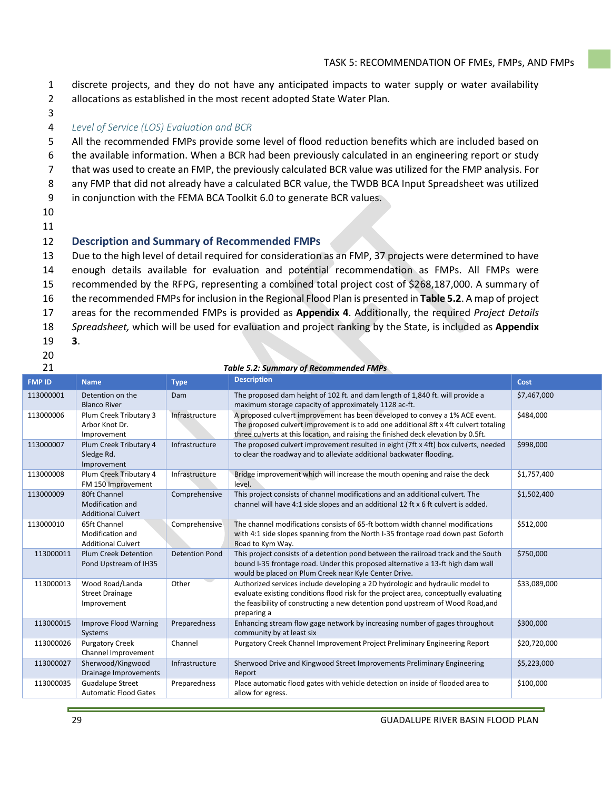- 1 discrete projects, and they do not have any anticipated impacts to water supply or water availability
- 2 allocations as established in the most recent adopted State Water Plan.
- 3

#### 4 *Level of Service (LOS) Evaluation and BCR*

- 5 All the recommended FMPs provide some level of flood reduction benefits which are included based on
- 6 the available information. When a BCR had been previously calculated in an engineering report or study
- 7 that was used to create an FMP, the previously calculated BCR value was utilized for the FMP analysis. For
- 8 any FMP that did not already have a calculated BCR value, the TWDB BCA Input Spreadsheet was utilized
- 9 in conjunction with the FEMA BCA Toolkit 6.0 to generate BCR values.
- 10

#### 11

#### 12 **Description and Summary of Recommended FMPs**

13 Due to the high level of detail required for consideration as an FMP, 37 projects were determined to have

- 14 enough details available for evaluation and potential recommendation as FMPs. All FMPs were
- 15 recommended by the RFPG, representing a combined total project cost of \$268,187,000. A summary of
- 16 the recommended FMPs for inclusion in the Regional Flood Plan is presented in **Table 5.2**. A map of project
- 17 areas for the recommended FMPs is provided as **Appendix 4**. Additionally, the required *Project Details*
- 18 *Spreadsheet,* which will be used for evaluation and project ranking by the State, is included as **Appendix**
- 19 **3**.
- 20

#### 21 *Table 5.2: Summary of Recommended FMPs*

| <b>FMP ID</b> | <b>Name</b>                                                          | <b>Type</b>           | <b>Description</b>                                                                                                                                                                                                                                                       | Cost         |
|---------------|----------------------------------------------------------------------|-----------------------|--------------------------------------------------------------------------------------------------------------------------------------------------------------------------------------------------------------------------------------------------------------------------|--------------|
| 113000001     | Detention on the<br><b>Blanco River</b>                              | Dam                   | The proposed dam height of 102 ft. and dam length of 1,840 ft. will provide a<br>maximum storage capacity of approximately 1128 ac-ft.                                                                                                                                   | \$7,467,000  |
| 113000006     | Plum Creek Tributary 3<br>Arbor Knot Dr.<br>Improvement              | Infrastructure        | A proposed culvert improvement has been developed to convey a 1% ACE event.<br>The proposed culvert improvement is to add one additional 8ft x 4ft culvert totaling<br>three culverts at this location, and raising the finished deck elevation by 0.5ft.                | \$484,000    |
| 113000007     | Plum Creek Tributary 4<br>Sledge Rd.<br>Improvement                  | Infrastructure        | The proposed culvert improvement resulted in eight (7ft x 4ft) box culverts, needed<br>to clear the roadway and to alleviate additional backwater flooding.                                                                                                              | \$998,000    |
| 113000008     | Plum Creek Tributary 4<br>FM 150 Improvement                         | Infrastructure        | Bridge improvement which will increase the mouth opening and raise the deck<br>level.                                                                                                                                                                                    | \$1,757,400  |
| 113000009     | 80ft Channel<br><b>Modification and</b><br><b>Additional Culvert</b> | Comprehensive         | This project consists of channel modifications and an additional culvert. The<br>channel will have 4:1 side slopes and an additional 12 ft x 6 ft culvert is added.                                                                                                      | \$1,502,400  |
| 113000010     | 65ft Channel<br>Modification and<br><b>Additional Culvert</b>        | Comprehensive         | The channel modifications consists of 65-ft bottom width channel modifications<br>with 4:1 side slopes spanning from the North I-35 frontage road down past Goforth<br>Road to Kym Way.                                                                                  | \$512,000    |
| 113000011     | <b>Plum Creek Detention</b><br>Pond Upstream of IH35                 | <b>Detention Pond</b> | This project consists of a detention pond between the railroad track and the South<br>bound I-35 frontage road. Under this proposed alternative a 13-ft high dam wall<br>would be placed on Plum Creek near Kyle Center Drive.                                           | \$750,000    |
| 113000013     | Wood Road/Landa<br><b>Street Drainage</b><br>Improvement             | Other                 | Authorized services include developing a 2D hydrologic and hydraulic model to<br>evaluate existing conditions flood risk for the project area, conceptually evaluating<br>the feasibility of constructing a new detention pond upstream of Wood Road, and<br>preparing a | \$33,089,000 |
| 113000015     | <b>Improve Flood Warning</b><br>Systems                              | Preparedness          | Enhancing stream flow gage network by increasing number of gages throughout<br>community by at least six                                                                                                                                                                 | \$300,000    |
| 113000026     | <b>Purgatory Creek</b><br>Channel Improvement                        | Channel               | Purgatory Creek Channel Improvement Project Preliminary Engineering Report                                                                                                                                                                                               | \$20,720,000 |
| 113000027     | Sherwood/Kingwood<br>Drainage Improvements                           | Infrastructure        | Sherwood Drive and Kingwood Street Improvements Preliminary Engineering<br>Report                                                                                                                                                                                        | \$5,223,000  |
| 113000035     | <b>Guadalupe Street</b><br><b>Automatic Flood Gates</b>              | Preparedness          | Place automatic flood gates with vehicle detection on inside of flooded area to<br>allow for egress.                                                                                                                                                                     | \$100,000    |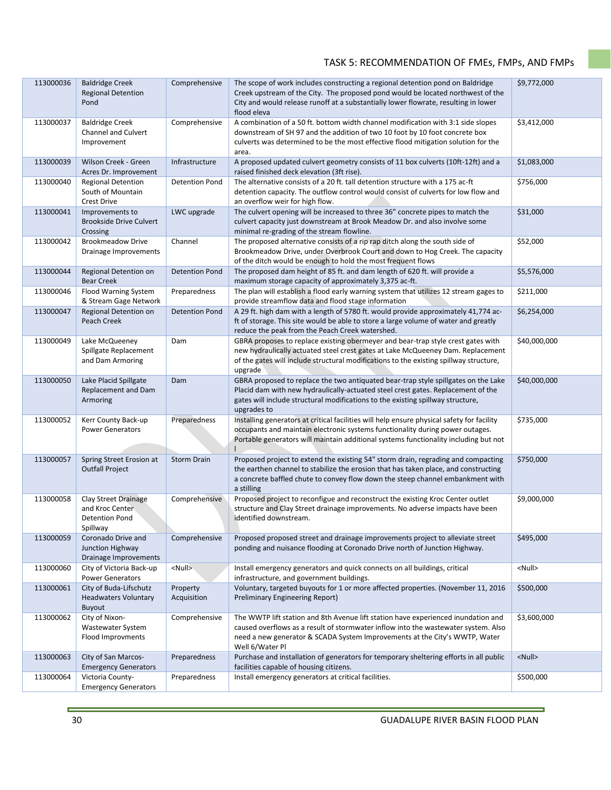| 113000036 | <b>Baldridge Creek</b><br><b>Regional Detention</b><br>Pond                    | Comprehensive           | The scope of work includes constructing a regional detention pond on Baldridge<br>Creek upstream of the City. The proposed pond would be located northwest of the<br>City and would release runoff at a substantially lower flowrate, resulting in lower<br>flood eleva  | \$9,772,000   |
|-----------|--------------------------------------------------------------------------------|-------------------------|--------------------------------------------------------------------------------------------------------------------------------------------------------------------------------------------------------------------------------------------------------------------------|---------------|
| 113000037 | <b>Baldridge Creek</b><br>Channel and Culvert<br>Improvement                   | Comprehensive           | A combination of a 50 ft. bottom width channel modification with 3:1 side slopes<br>downstream of SH 97 and the addition of two 10 foot by 10 foot concrete box<br>culverts was determined to be the most effective flood mitigation solution for the<br>area.           | \$3,412,000   |
| 113000039 | Wilson Creek - Green<br>Acres Dr. Improvement                                  | Infrastructure          | A proposed updated culvert geometry consists of 11 box culverts (10ft-12ft) and a<br>raised finished deck elevation (3ft rise).                                                                                                                                          | \$1,083,000   |
| 113000040 | <b>Regional Detention</b><br>South of Mountain<br><b>Crest Drive</b>           | <b>Detention Pond</b>   | The alternative consists of a 20 ft. tall detention structure with a 175 ac-ft<br>detention capacity. The outflow control would consist of culverts for low flow and<br>an overflow weir for high flow.                                                                  | \$756,000     |
| 113000041 | Improvements to<br><b>Brookside Drive Culvert</b><br>Crossing                  | LWC upgrade             | The culvert opening will be increased to three 36" concrete pipes to match the<br>culvert capacity just downstream at Brook Meadow Dr. and also involve some<br>minimal re-grading of the stream flowline.                                                               | \$31,000      |
| 113000042 | <b>Brookmeadow Drive</b><br>Drainage Improvements                              | Channel                 | The proposed alternative consists of a rip rap ditch along the south side of<br>Brookmeadow Drive, under Overbrook Court and down to Hog Creek. The capacity<br>of the ditch would be enough to hold the most frequent flows                                             | \$52,000      |
| 113000044 | Regional Detention on<br><b>Bear Creek</b>                                     | <b>Detention Pond</b>   | The proposed dam height of 85 ft. and dam length of 620 ft. will provide a<br>maximum storage capacity of approximately 3,375 ac-ft.                                                                                                                                     | \$5,576,000   |
| 113000046 | Flood Warning System<br>& Stream Gage Network                                  | Preparedness            | The plan will establish a flood early warning system that utilizes 12 stream gages to<br>provide streamflow data and flood stage information                                                                                                                             | \$211,000     |
| 113000047 | Regional Detention on<br>Peach Creek                                           | <b>Detention Pond</b>   | A 29 ft. high dam with a length of 5780 ft. would provide approximately 41,774 ac-<br>ft of storage. This site would be able to store a large volume of water and greatly<br>reduce the peak from the Peach Creek watershed.                                             | \$6,254,000   |
| 113000049 | Lake McQueeney<br>Spillgate Replacement<br>and Dam Armoring                    | Dam                     | GBRA proposes to replace existing obermeyer and bear-trap style crest gates with<br>new hydraulically actuated steel crest gates at Lake McQueeney Dam. Replacement<br>of the gates will include structural modifications to the existing spillway structure,<br>upgrade | \$40,000,000  |
| 113000050 | Lake Placid Spillgate<br>Replacement and Dam<br>Armoring                       | Dam                     | GBRA proposed to replace the two antiquated bear-trap style spillgates on the Lake<br>Placid dam with new hydraulically-actuated steel crest gates. Replacement of the<br>gates will include structural modifications to the existing spillway structure,<br>upgrades to | \$40,000,000  |
| 113000052 | Kerr County Back-up<br><b>Power Generators</b>                                 | Preparedness            | Installing generators at critical facilities will help ensure physical safety for facility<br>occupants and maintain electronic systems functionality during power outages.<br>Portable generators will maintain additional systems functionality including but not      | \$735,000     |
| 113000057 | Spring Street Erosion at<br><b>Outfall Project</b>                             | <b>Storm Drain</b>      | Proposed project to extend the existing 54" storm drain, regrading and compacting<br>the earthen channel to stabilize the erosion that has taken place, and constructing<br>a concrete baffled chute to convey flow down the steep channel embankment with<br>a stilling | \$750,000     |
| 113000058 | Clay Street Drainage<br>and Kroc Center<br><b>Detention Pond</b><br>Spillway   | Comprehensive           | Proposed project to reconfigue and reconstruct the existing Kroc Center outlet<br>structure and Clay Street drainage improvements. No adverse impacts have been<br>identified downstream.                                                                                | \$9,000,000   |
| 113000059 | Coronado Drive and<br>Junction Highway<br>Drainage Improvements                | Comprehensive           | Proposed proposed street and drainage improvements project to alleviate street<br>ponding and nuisance flooding at Coronado Drive north of Junction Highway.                                                                                                             | \$495,000     |
| 113000060 | City of Victoria Back-up<br><b>Power Generators</b>                            | <null></null>           | Install emergency generators and quick connects on all buildings, critical<br>infrastructure, and government buildings.                                                                                                                                                  | <null></null> |
| 113000061 | City of Buda-Lifschutz<br><b>Headwaters Voluntary</b><br>Buyout                | Property<br>Acquisition | Voluntary, targeted buyouts for 1 or more affected properties. (November 11, 2016<br>Preliminary Engineering Report)                                                                                                                                                     | \$500,000     |
| 113000062 | City of Nixon-<br>Wastewater System<br>Flood Improvments                       | Comprehensive           | The WWTP lift station and 8th Avenue lift station have experienced inundation and<br>caused overflows as a result of stormwater inflow into the wastewater system. Also<br>need a new generator & SCADA System Improvements at the City's WWTP, Water                    | \$3,600,000   |
| 113000063 | City of San Marcos-                                                            | Preparedness            | Well 6/Water Pl<br>Purchase and installation of generators for temporary sheltering efforts in all public                                                                                                                                                                | <null></null> |
| 113000064 | <b>Emergency Generators</b><br>Victoria County-<br><b>Emergency Generators</b> | Preparedness            | facilities capable of housing citizens.<br>Install emergency generators at critical facilities.                                                                                                                                                                          | \$500,000     |
|           |                                                                                |                         |                                                                                                                                                                                                                                                                          |               |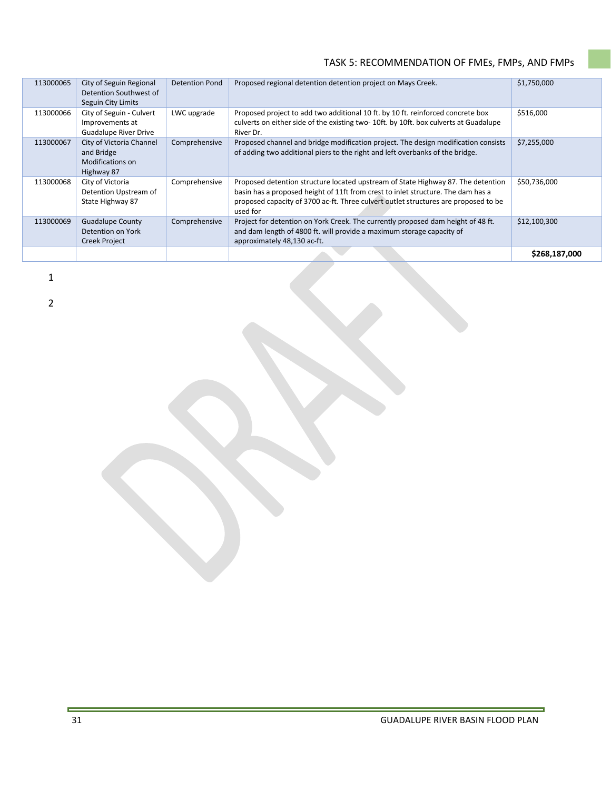| 113000065 | City of Seguin Regional<br>Detention Southwest of<br>Seguin City Limits     | <b>Detention Pond</b> | Proposed regional detention detention project on Mays Creek.                                                                                                                                                                                                            | \$1,750,000   |
|-----------|-----------------------------------------------------------------------------|-----------------------|-------------------------------------------------------------------------------------------------------------------------------------------------------------------------------------------------------------------------------------------------------------------------|---------------|
| 113000066 | City of Seguin - Culvert<br>Improvements at<br><b>Guadalupe River Drive</b> | LWC upgrade           | Proposed project to add two additional 10 ft. by 10 ft. reinforced concrete box<br>culverts on either side of the existing two-10ft. by 10ft. box culverts at Guadalupe<br>River Dr.                                                                                    | \$516,000     |
| 113000067 | City of Victoria Channel<br>and Bridge<br>Modifications on<br>Highway 87    | Comprehensive         | Proposed channel and bridge modification project. The design modification consists<br>of adding two additional piers to the right and left overbanks of the bridge.                                                                                                     | \$7,255,000   |
| 113000068 | City of Victoria<br>Detention Upstream of<br>State Highway 87               | Comprehensive         | Proposed detention structure located upstream of State Highway 87. The detention<br>basin has a proposed height of 11ft from crest to inlet structure. The dam has a<br>proposed capacity of 3700 ac-ft. Three culvert outlet structures are proposed to be<br>used for | \$50,736,000  |
| 113000069 | <b>Guadalupe County</b><br>Detention on York<br><b>Creek Project</b>        | Comprehensive         | Project for detention on York Creek. The currently proposed dam height of 48 ft.<br>and dam length of 4800 ft. will provide a maximum storage capacity of<br>approximately 48,130 ac-ft.                                                                                | \$12,100,300  |
|           |                                                                             |                       |                                                                                                                                                                                                                                                                         | \$268,187,000 |

1

2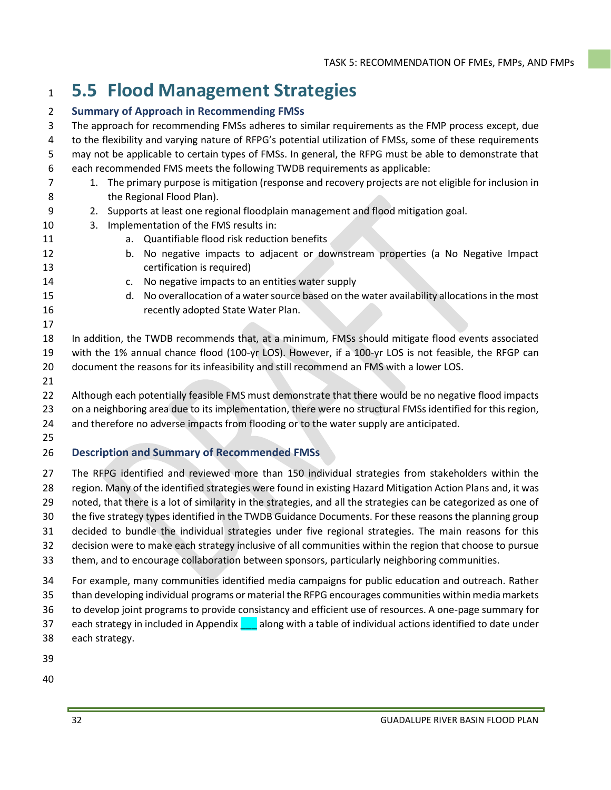# **5.5 Flood Management Strategies**

#### **Summary of Approach in Recommending FMSs**

 The approach for recommending FMSs adheres to similar requirements as the FMP process except, due to the flexibility and varying nature of RFPG's potential utilization of FMSs, some of these requirements may not be applicable to certain types of FMSs. In general, the RFPG must be able to demonstrate that each recommended FMS meets the following TWDB requirements as applicable: 1. The primary purpose is mitigation (response and recovery projects are not eligible for inclusion in 8 the Regional Flood Plan). 2. Supports at least one regional floodplain management and flood mitigation goal. 3. Implementation of the FMS results in: a. Quantifiable flood risk reduction benefits b. No negative impacts to adjacent or downstream properties (a No Negative Impact certification is required) c. No negative impacts to an entities water supply d. No overallocation of a water source based on the water availability allocations in the most recently adopted State Water Plan. In addition, the TWDB recommends that, at a minimum, FMSs should mitigate flood events associated with the 1% annual chance flood (100-yr LOS). However, if a 100-yr LOS is not feasible, the RFGP can document the reasons for its infeasibility and still recommend an FMS with a lower LOS. Although each potentially feasible FMS must demonstrate that there would be no negative flood impacts on a neighboring area due to its implementation, there were no structural FMSs identified for this region, and therefore no adverse impacts from flooding or to the water supply are anticipated. **Description and Summary of Recommended FMSs** The RFPG identified and reviewed more than 150 individual strategies from stakeholders within the region. Many of the identified strategies were found in existing Hazard Mitigation Action Plans and, it was noted, that there is a lot of similarity in the strategies, and all the strategies can be categorized as one of the five strategy types identified in the TWDB Guidance Documents. For these reasons the planning group decided to bundle the individual strategies under five regional strategies. The main reasons for this decision were to make each strategy inclusive of all communities within the region that choose to pursue them, and to encourage collaboration between sponsors, particularly neighboring communities. For example, many communities identified media campaigns for public education and outreach. Rather than developing individual programs or material the RFPG encourages communities within media markets to develop joint programs to provide consistancy and efficient use of resources. A one-page summary for

- 37 each strategy in included in Appendix and along with a table of individual actions identified to date under
- each strategy.
- 
-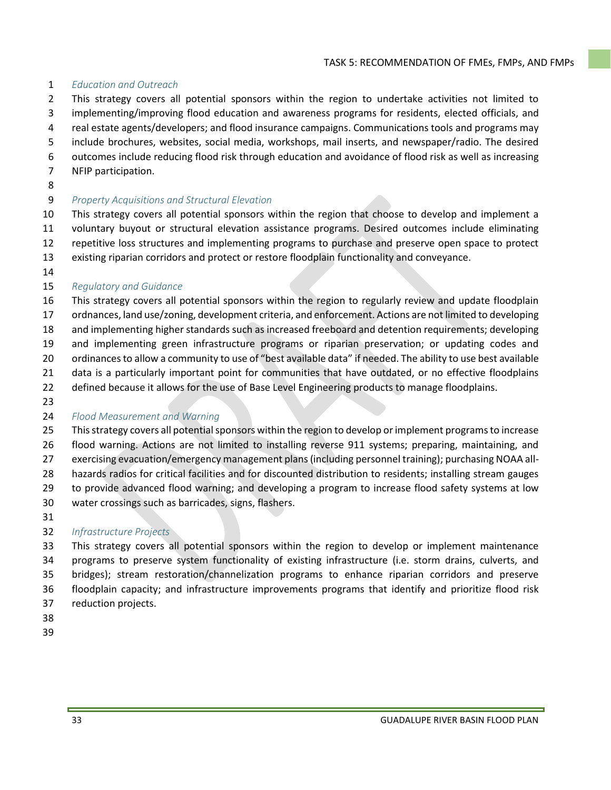#### *Education and Outreach*

- This strategy covers all potential sponsors within the region to undertake activities not limited to
- implementing/improving flood education and awareness programs for residents, elected officials, and
- real estate agents/developers; and flood insurance campaigns. Communications tools and programs may
- include brochures, websites, social media, workshops, mail inserts, and newspaper/radio. The desired
- outcomes include reducing flood risk through education and avoidance of flood risk as well as increasing
- NFIP participation.
- 

#### *Property Acquisitions and Structural Elevation*

 This strategy covers all potential sponsors within the region that choose to develop and implement a voluntary buyout or structural elevation assistance programs. Desired outcomes include eliminating repetitive loss structures and implementing programs to purchase and preserve open space to protect existing riparian corridors and protect or restore floodplain functionality and conveyance.

#### *Regulatory and Guidance*

- This strategy covers all potential sponsors within the region to regularly review and update floodplain
- ordnances, land use/zoning, development criteria, and enforcement. Actions are not limited to developing
- and implementing higher standards such as increased freeboard and detention requirements; developing and implementing green infrastructure programs or riparian preservation; or updating codes and
- ordinances to allow a community to use of "best available data" if needed. The ability to use best available
- 21 data is a particularly important point for communities that have outdated, or no effective floodplains
- defined because it allows for the use of Base Level Engineering products to manage floodplains.
- 

### *Flood Measurement and Warning*

- This strategy covers all potential sponsors within the region to develop or implement programs to increase flood warning. Actions are not limited to installing reverse 911 systems; preparing, maintaining, and exercising evacuation/emergency management plans (including personnel training); purchasing NOAA all-hazards radios for critical facilities and for discounted distribution to residents; installing stream gauges
- to provide advanced flood warning; and developing a program to increase flood safety systems at low
- water crossings such as barricades, signs, flashers.
- 

### *Infrastructure Projects*

 This strategy covers all potential sponsors within the region to develop or implement maintenance programs to preserve system functionality of existing infrastructure (i.e. storm drains, culverts, and bridges); stream restoration/channelization programs to enhance riparian corridors and preserve floodplain capacity; and infrastructure improvements programs that identify and prioritize flood risk reduction projects.

- 
-